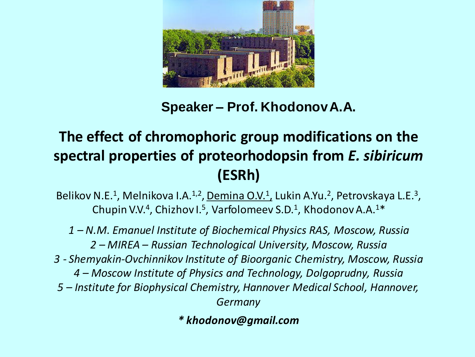

**Speaker – Prof. KhodonovA.A.**

# **The effect of chromophoric group modifications on the spectral properties of proteorhodopsin from** *E. sibiricum* **(ESRh)**

Belikov N.E.<sup>1</sup>, Melnikova I.A.<sup>1,2</sup>, <u>Demina O.V.<sup>1</sup>,</u> Lukin A.Yu.<sup>2</sup>, Petrovskaya L.E.<sup>3</sup>, Chupin V.V.<sup>4</sup>, Chizhov I.<sup>5</sup>, Varfolomeev S.D.<sup>1</sup>, Khodonov A.A.<sup>1\*</sup>

*– N.M. Emanuel Institute of Biochemical Physics RAS, Moscow, Russia – MIREA – Russian Technological University, Moscow, Russia 3 - Shemyakin-Ovchinnikov Institute of Bioorganic Chemistry, Moscow, Russia – Moscow Institute of Physics and Technology, Dolgoprudny, Russia – Institute for Biophysical Chemistry, Hannover Medical School, Hannover, Germany*

*\* khodonov@gmail.com*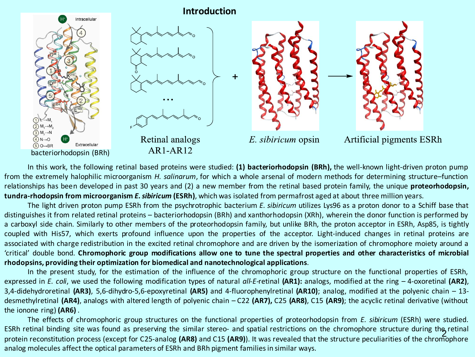

In this work, the following retinal based proteins were studied: **(1) bacteriorhodopsin (BRh),** the well-known light-driven proton pump from the extremely halophilic microorganism *H. salinarum*, for which a whole arsenal of modern methods for determining structure–function relationships has been developed in past 30 years and (2) a new member from the retinal based protein family, the unique **proteorhodopsin, tundra-rhodopsin from microorganism** *E.sibiricum* **(ESRh)**, which was isolated from permafrost aged at about three million years.

The light driven proton pump ESRh from the psychrotrophic bacterium *E. sibiricum* utilizes Lys96 as a proton donor to a Schiff base that distinguishes it from related retinal proteins – bacteriorhodopsin (BRh) and xanthorhodopsin (XRh), wherein the donor function is performed by a carboxyl side chain. Similarly to other members of the proteorhodopsin family, but unlike BRh, the proton acceptor in ESRh, Asp85, is tightly coupled with His57, which exerts profound influence upon the properties of the acceptor. Light-induced changes in retinal proteins are associated with charge redistribution in the excited retinal chromophore and are driven by the isomerization of chromophore moiety around a 'critical' double bond. Chromophoric group modifications allow one to tune the spectral properties and other characteristics of microbial **rhodopsins, providing their optimization for biomedical and nanotechnological applications**.

In the present study, for the estimation of the influence of the chromophoric group structure on the functional properties of ESRh, expressed in *E. coli*, we used the following modification types of natural *all-E-*retinal **(AR1):** analogs, modified at the ring – 4-oxoretinal **(AR2)**, 3,4-didehydroretinal **(AR3)**, 5,6-dihydro-5,6-epoxyretinal **(AR5)** and 4-fluorophenylretinal **(AR10)**; analog, modified at the polyenic chain – 13 desmethylretinal **(AR4)**, analogs with altered length of polyenic chain – C22 **(AR7),** C25 **(AR8)**, C15 **(AR9)**; the acyclic retinal derivative (without the ionone ring) **(AR6)** .

ESRh retinal binding site was found as preserving the similar stereo- and spatial restrictions on the chromophore structure during the retinal<br>ESRh retinal binding site was found for C2E analog (APR) and C4E (APR)). It was The effects of chromophoric group structures on the functional properties of proteorhodopsin from *E. sibiricum* (ESRh) were studied. protein reconstitution process (except for C25-analog **(AR8)** and C15 **(AR9)**). It was revealed that the structure peculiarities of the chromophore analog molecules affect the optical parameters of ESRh and BRh pigment familiesin similar ways.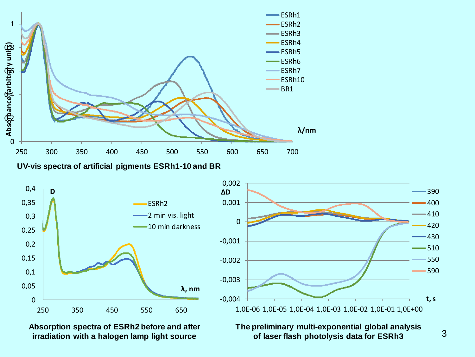

**UV-vis spectra of artificial pigments ESRh1-10 and BR**



**Absorption spectra of ESRh2 before and after irradiation with a halogen lamp light source**



**The preliminary multi-exponential global analysis of laser flash photolysis data for ESRh3**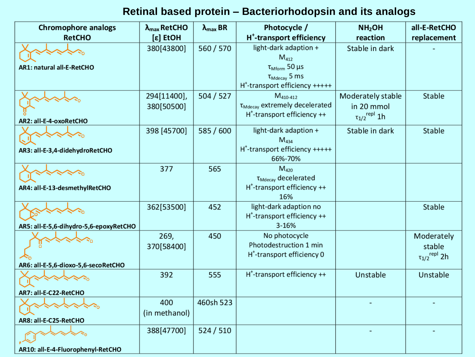## **Retinal based protein – Bacteriorhodopsin and its analogs**

| <b>Chromophore analogs</b>             | $\lambda_{\text{max}}$ RetCHO | $\lambda_{\text{max}}$ BR | Photocycle /                                                                                                                     | NH <sub>2</sub> OH                                                 | all-E-RetCHO                                            |
|----------------------------------------|-------------------------------|---------------------------|----------------------------------------------------------------------------------------------------------------------------------|--------------------------------------------------------------------|---------------------------------------------------------|
| <b>RetCHO</b>                          | [ε] EtOH                      |                           | H <sup>+</sup> -transport efficiency                                                                                             | reaction                                                           | replacement                                             |
| AR1: natural all-E-RetCHO              | 380[43800]                    | 560 / 570                 | light-dark adaption +<br>$M_{412}$<br>$\tau_{Mform}$ 50 µs<br>$\tau_{Mdecay}$ 5 ms<br>H <sup>+</sup> -transport efficiency +++++ | Stable in dark                                                     |                                                         |
| AR2: all-E-4-oxoRetCHO                 | 294[11400],<br>380[50500]     | 504 / 527                 | $M_{410-412}$<br>T <sub>Mdecay</sub> extremely decelerated<br>$H^*$ -transport efficiency $++$                                   | Moderately stable<br>in 20 mmol<br>$\tau_{1/2}$ <sup>repl</sup> 1h | Stable                                                  |
| AR3: all-E-3,4-didehydroRetCHO         | 398 [45700]                   | 585 / 600                 | light-dark adaption +<br>$M_{434}$<br>H <sup>+</sup> -transport efficiency +++++<br>66%-70%                                      | Stable in dark                                                     | Stable                                                  |
| AR4: all-E-13-desmethylRetCHO          | 377                           | 565                       | $M_{420}$<br>$\tau_{\text{Mdecay}}$ decelerated<br>H <sup>+</sup> -transport efficiency ++<br>16%                                |                                                                    |                                                         |
| AR5: all-E-5,6-dihydro-5,6-epoxyRetCHO | 362[53500]                    | 452                       | light-dark adaption no<br>H <sup>+</sup> -transport efficiency ++<br>3-16%                                                       |                                                                    | Stable                                                  |
| AR6: all-E-5,6-dioxo-5,6-secoRetCHO    | 269,<br>370[58400]            | 450                       | No photocycle<br>Photodestruction 1 min<br>H <sup>+</sup> -transport efficiency 0                                                |                                                                    | Moderately<br>stable<br>$\tau_{1/2}$ <sup>repl</sup> 2h |
| AR7: all-E-C22-RetCHO                  | 392                           | 555                       | H <sup>+</sup> -transport efficiency ++                                                                                          | Unstable                                                           | Unstable                                                |
| AR8: all-E-C25-RetCHO                  | 400<br>(in methanol)          | 460sh 523                 |                                                                                                                                  |                                                                    |                                                         |
| AR10: all-F-4-Fluorophenyl-RetCHO      | 388[47700]                    | 524/510                   |                                                                                                                                  |                                                                    |                                                         |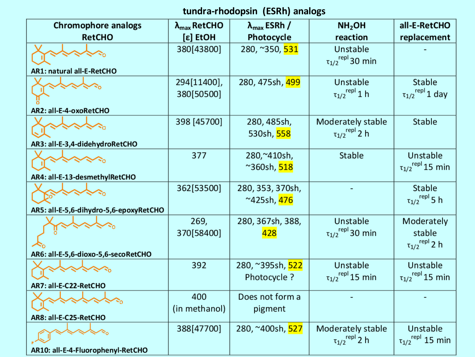### **tundra-rhodopsin (ESRh) analogs**

| Chromophore analogs                                                 | $\lambda_{\text{max}}$ RetCHO | $\lambda_{\text{max}}$ ESRh /                 | NH <sub>2</sub> OH                                    | all-E-RetCHO                                             |
|---------------------------------------------------------------------|-------------------------------|-----------------------------------------------|-------------------------------------------------------|----------------------------------------------------------|
| <b>RetCHO</b>                                                       | [ε] EtOH                      | Photocycle                                    | reaction                                              | replacement                                              |
| AR1: natural all-E-RetCHO                                           | 380[43800]                    | 280, ~350, 531                                | Unstable<br>$\tau_{1/2}$ <sup>repl</sup> 30 min       |                                                          |
| AR2: all-E-4-oxoRetCHO                                              | 294[11400],<br>380[50500]     | 280, 475sh, 499                               | Unstable<br>$\tau_{1/2}$ <sup>repl</sup> 1 h          | Stable<br>$\tau_{1/2}$ <sup>repl</sup> 1 day             |
| AR3: all-E-3,4-didehydroRetCHO                                      | 398 [45700]                   | 280, 485sh,<br>530sh, 558                     | Moderately stable<br>$\tau_{1/2}$ <sup>repl</sup> 2 h | Stable                                                   |
| AR4: all-E-13-desmethylRetCHO                                       | 377                           | 280,~410sh,<br>~360sh, <mark>518</mark>       | Stable                                                | Unstable<br>$\tau_{1/2}$ <sup>repl</sup> 15 min          |
| $\mathbb{Z}_{\mathbb{Q}}$<br>AR5: all-E-5,6-dihydro-5,6-epoxyRetCHO | 362[53500]                    | 280, 353, 370sh,<br>~425sh, <mark>476</mark>  |                                                       | Stable<br>$\tau_{1/2}$ <sup>repl</sup> 5 h               |
| AR6: all-E-5,6-dioxo-5,6-secoRetCHO                                 | 269,<br>370[58400]            | 280, 367sh, 388,<br>428                       | Unstable<br>$\tau_{1/2}^{repl}$ 30 min                | Moderately<br>stable<br>$\tau_{1/2}$ <sup>repl</sup> 2 h |
| AR7: all-E-C22-RetCHO                                               | 392                           | 280, ~395sh, <mark>522</mark><br>Photocycle ? | Unstable<br>$\tau_{1/2}$ <sup>repl</sup> 15 min       | Unstable<br>$\tau_{1/2}^{repl}$ 15 min                   |
| AR8: all-E-C25-RetCHO                                               | 400<br>(in methanol)          | Does not form a<br>pigment                    |                                                       |                                                          |
| AR10: all-E-4-Fluorophenyl-RetCHO                                   | 388[47700]                    | 280, ~400sh, <mark>527</mark>                 | Moderately stable<br>$\tau_{1/2}^{rep1}$ 2 h          | Unstable<br>$\tau_{1/2}$ <sup>repl</sup> 15 min          |